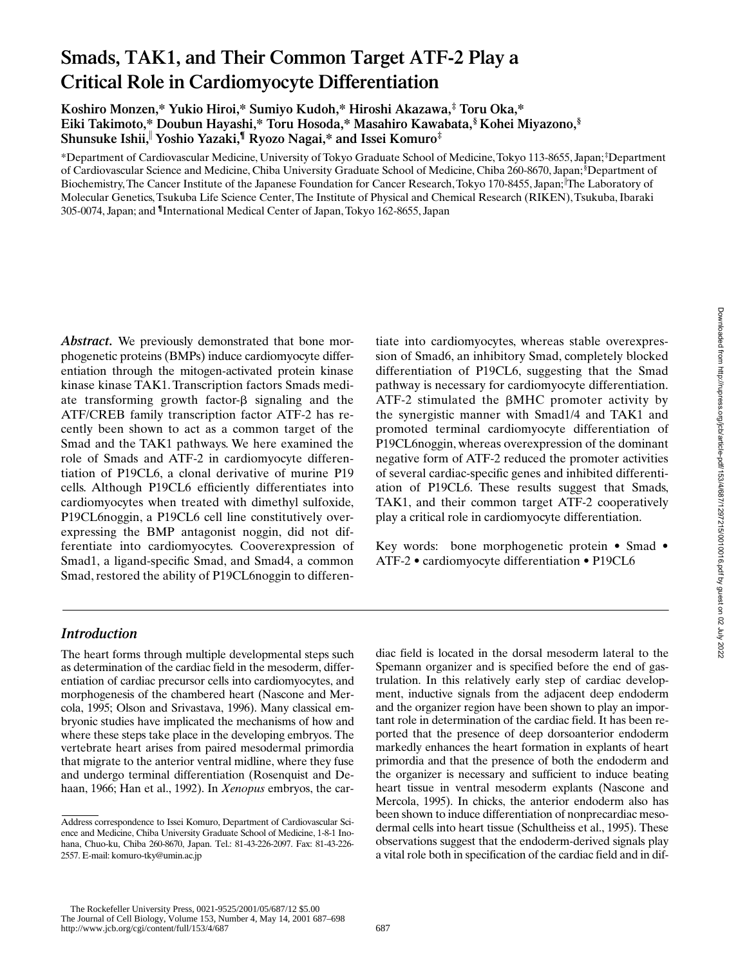# **Smads, TAK1, and Their Common Target ATF-2 Play a Critical Role in Cardiomyocyte Differentiation**

**Koshiro Monzen,\* Yukio Hiroi,\* Sumiyo Kudoh,\* Hiroshi Akazawa,‡ Toru Oka,\* Eiki Takimoto,\* Doubun Hayashi,\* Toru Hosoda,\* Masahiro Kawabata,§ Kohei Miyazono,§ Shunsuke Ishii,**<sup>i</sup>  **Yoshio Yazaki,¶ Ryozo Nagai,\* and Issei Komuro‡**

\*Department of Cardiovascular Medicine, University of Tokyo Graduate School of Medicine, Tokyo 113-8655, Japan; ‡ Department of Cardiovascular Science and Medicine, Chiba University Graduate School of Medicine, Chiba 260-8670, Japan;<sup>§</sup>Department of Biochemistry, The Cancer Institute of the Japanese Foundation for Cancer Research, Tokyo 170-8455, Japan; The Laboratory of Molecular Genetics, Tsukuba Life Science Center, The Institute of Physical and Chemical Research (RIKEN), Tsukuba, Ibaraki 305-0074, Japan; and **¶**International Medical Center of Japan, Tokyo 162-8655, Japan

*Abstract.* We previously demonstrated that bone morphogenetic proteins (BMPs) induce cardiomyocyte differentiation through the mitogen-activated protein kinase kinase kinase TAK1. Transcription factors Smads mediate transforming growth factor- $\beta$  signaling and the ATF/CREB family transcription factor ATF-2 has recently been shown to act as a common target of the Smad and the TAK1 pathways. We here examined the role of Smads and ATF-2 in cardiomyocyte differentiation of P19CL6, a clonal derivative of murine P19 cells. Although P19CL6 efficiently differentiates into cardiomyocytes when treated with dimethyl sulfoxide, P19CL6noggin, a P19CL6 cell line constitutively overexpressing the BMP antagonist noggin, did not differentiate into cardiomyocytes. Cooverexpression of Smad1, a ligand-specific Smad, and Smad4, a common Smad, restored the ability of P19CL6noggin to differentiate into cardiomyocytes, whereas stable overexpression of Smad6, an inhibitory Smad, completely blocked differentiation of P19CL6, suggesting that the Smad pathway is necessary for cardiomyocyte differentiation. ATF-2 stimulated the  $\beta$ MHC promoter activity by the synergistic manner with Smad1/4 and TAK1 and promoted terminal cardiomyocyte differentiation of P19CL6noggin, whereas overexpression of the dominant negative form of ATF-2 reduced the promoter activities of several cardiac-specific genes and inhibited differentiation of P19CL6. These results suggest that Smads, TAK1, and their common target ATF-2 cooperatively play a critical role in cardiomyocyte differentiation.

Key words: bone morphogenetic protein • Smad • ATF-2 • cardiomyocyte differentiation • P19CL6

# *Introduction*

The heart forms through multiple developmental steps such as determination of the cardiac field in the mesoderm, differentiation of cardiac precursor cells into cardiomyocytes, and morphogenesis of the chambered heart (Nascone and Mercola, 1995; Olson and Srivastava, 1996). Many classical embryonic studies have implicated the mechanisms of how and where these steps take place in the developing embryos. The vertebrate heart arises from paired mesodermal primordia that migrate to the anterior ventral midline, where they fuse and undergo terminal differentiation (Rosenquist and Dehaan, 1966; Han et al., 1992). In *Xenopus* embryos, the cardiac field is located in the dorsal mesoderm lateral to the Spemann organizer and is specified before the end of gastrulation. In this relatively early step of cardiac development, inductive signals from the adjacent deep endoderm and the organizer region have been shown to play an important role in determination of the cardiac field. It has been reported that the presence of deep dorsoanterior endoderm markedly enhances the heart formation in explants of heart primordia and that the presence of both the endoderm and the organizer is necessary and sufficient to induce beating heart tissue in ventral mesoderm explants (Nascone and Mercola, 1995). In chicks, the anterior endoderm also has been shown to induce differentiation of nonprecardiac mesodermal cells into heart tissue (Schultheiss et al., 1995). These observations suggest that the endoderm-derived signals play a vital role both in specification of the cardiac field and in dif-

 The Rockefeller University Press, 0021-9525/2001/05/687/12 \$5.00 The Journal of Cell Biology, Volume 153, Number 4, May 14, 2001 687–698 http://www.jcb.org/cgi/content/full/153/4/687 687

Address correspondence to Issei Komuro, Department of Cardiovascular Science and Medicine, Chiba University Graduate School of Medicine, 1-8-1 Inohana, Chuo-ku, Chiba 260-8670, Japan. Tel.: 81-43-226-2097. Fax: 81-43-226- 2557. E-mail: komuro-tky@umin.ac.jp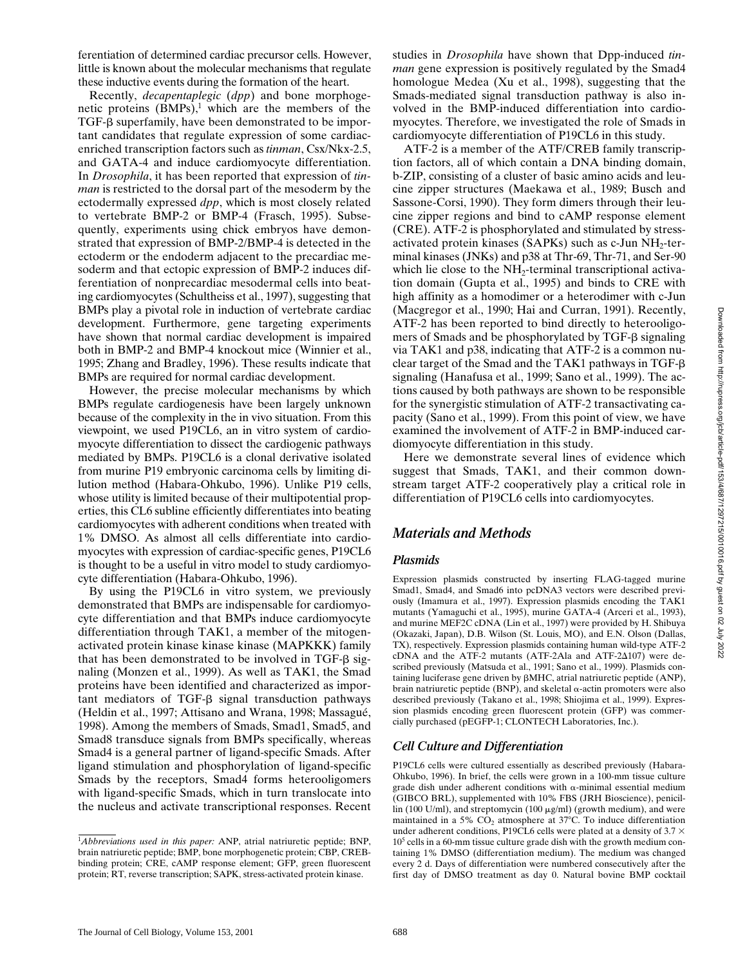ferentiation of determined cardiac precursor cells. However, little is known about the molecular mechanisms that regulate these inductive events during the formation of the heart.

Recently, *decapentaplegic* (*dpp*) and bone morphogenetic proteins  $(BMPs)$ ,<sup>1</sup> which are the members of the TGF- $\beta$  superfamily, have been demonstrated to be important candidates that regulate expression of some cardiacenriched transcription factors such as *tinman*, Csx/Nkx-2.5, and GATA-4 and induce cardiomyocyte differentiation. In *Drosophila*, it has been reported that expression of *tinman* is restricted to the dorsal part of the mesoderm by the ectodermally expressed *dpp*, which is most closely related to vertebrate BMP-2 or BMP-4 (Frasch, 1995). Subsequently, experiments using chick embryos have demonstrated that expression of BMP-2/BMP-4 is detected in the ectoderm or the endoderm adjacent to the precardiac mesoderm and that ectopic expression of BMP-2 induces differentiation of nonprecardiac mesodermal cells into beating cardiomyocytes (Schultheiss et al., 1997), suggesting that BMPs play a pivotal role in induction of vertebrate cardiac development. Furthermore, gene targeting experiments have shown that normal cardiac development is impaired both in BMP-2 and BMP-4 knockout mice (Winnier et al., 1995; Zhang and Bradley, 1996). These results indicate that BMPs are required for normal cardiac development.

However, the precise molecular mechanisms by which BMPs regulate cardiogenesis have been largely unknown because of the complexity in the in vivo situation. From this viewpoint, we used P19CL6, an in vitro system of cardiomyocyte differentiation to dissect the cardiogenic pathways mediated by BMPs. P19CL6 is a clonal derivative isolated from murine P19 embryonic carcinoma cells by limiting dilution method (Habara-Ohkubo, 1996). Unlike P19 cells, whose utility is limited because of their multipotential properties, this CL6 subline efficiently differentiates into beating cardiomyocytes with adherent conditions when treated with 1% DMSO. As almost all cells differentiate into cardiomyocytes with expression of cardiac-specific genes, P19CL6 is thought to be a useful in vitro model to study cardiomyocyte differentiation (Habara-Ohkubo, 1996).

By using the P19CL6 in vitro system, we previously demonstrated that BMPs are indispensable for cardiomyocyte differentiation and that BMPs induce cardiomyocyte differentiation through TAK1, a member of the mitogenactivated protein kinase kinase kinase (MAPKKK) family that has been demonstrated to be involved in TGF- $\beta$  signaling (Monzen et al., 1999). As well as TAK1, the Smad proteins have been identified and characterized as important mediators of TGF- $\beta$  signal transduction pathways (Heldin et al., 1997; Attisano and Wrana, 1998; Massagué, 1998). Among the members of Smads, Smad1, Smad5, and Smad8 transduce signals from BMPs specifically, whereas Smad4 is a general partner of ligand-specific Smads. After ligand stimulation and phosphorylation of ligand-specific Smads by the receptors, Smad4 forms heterooligomers with ligand-specific Smads, which in turn translocate into the nucleus and activate transcriptional responses. Recent

studies in *Drosophila* have shown that Dpp-induced *tinman* gene expression is positively regulated by the Smad4 homologue Medea (Xu et al., 1998), suggesting that the Smads-mediated signal transduction pathway is also involved in the BMP-induced differentiation into cardiomyocytes. Therefore, we investigated the role of Smads in cardiomyocyte differentiation of P19CL6 in this study.

ATF-2 is a member of the ATF/CREB family transcription factors, all of which contain a DNA binding domain, b-ZIP, consisting of a cluster of basic amino acids and leucine zipper structures (Maekawa et al., 1989; Busch and Sassone-Corsi, 1990). They form dimers through their leucine zipper regions and bind to cAMP response element (CRE). ATF-2 is phosphorylated and stimulated by stressactivated protein kinases (SAPKs) such as  $c$ -Jun NH<sub>2</sub>-terminal kinases (JNKs) and p38 at Thr-69, Thr-71, and Ser-90 which lie close to the  $NH<sub>2</sub>$ -terminal transcriptional activation domain (Gupta et al., 1995) and binds to CRE with high affinity as a homodimer or a heterodimer with c-Jun (Macgregor et al., 1990; Hai and Curran, 1991). Recently, ATF-2 has been reported to bind directly to heterooligomers of Smads and be phosphorylated by  $TGF- $\beta$  signaling$ via TAK1 and p38, indicating that ATF-2 is a common nuclear target of the Smad and the TAK1 pathways in TGF-b signaling (Hanafusa et al., 1999; Sano et al., 1999). The actions caused by both pathways are shown to be responsible for the synergistic stimulation of ATF-2 transactivating capacity (Sano et al., 1999). From this point of view, we have examined the involvement of ATF-2 in BMP-induced cardiomyocyte differentiation in this study.

Here we demonstrate several lines of evidence which suggest that Smads, TAK1, and their common downstream target ATF-2 cooperatively play a critical role in differentiation of P19CL6 cells into cardiomyocytes.

## *Materials and Methods*

## *Plasmids*

Expression plasmids constructed by inserting FLAG-tagged murine Smad1, Smad4, and Smad6 into pcDNA3 vectors were described previously (Imamura et al., 1997). Expression plasmids encoding the TAK1 mutants (Yamaguchi et al., 1995), murine GATA-4 (Arceri et al., 1993), and murine MEF2C cDNA (Lin et al., 1997) were provided by H. Shibuya (Okazaki, Japan), D.B. Wilson (St. Louis, MO), and E.N. Olson (Dallas, TX), respectively. Expression plasmids containing human wild-type ATF-2  $cDNA$  and the ATF-2 mutants (ATF-2Ala and ATF-2 $\Delta$ 107) were described previously (Matsuda et al., 1991; Sano et al., 1999). Plasmids containing luciferase gene driven by  $\beta$ MHC, atrial natriuretic peptide (ANP), brain natriuretic peptide (BNP), and skeletal  $\alpha$ -actin promoters were also described previously (Takano et al., 1998; Shiojima et al., 1999). Expression plasmids encoding green fluorescent protein (GFP) was commercially purchased (pEGFP-1; CLONTECH Laboratories, Inc.).

## *Cell Culture and Differentiation*

P19CL6 cells were cultured essentially as described previously (Habara-Ohkubo, 1996). In brief, the cells were grown in a 100-mm tissue culture grade dish under adherent conditions with  $\alpha$ -minimal essential medium (GIBCO BRL), supplemented with 10% FBS (JRH Bioscience), penicillin (100 U/ml), and streptomycin (100  $\mu$ g/ml) (growth medium), and were maintained in a 5%  $CO<sub>2</sub>$  atmosphere at 37°C. To induce differentiation under adherent conditions, P19CL6 cells were plated at a density of 3.7  $\times$ 105 cells in a 60-mm tissue culture grade dish with the growth medium containing 1% DMSO (differentiation medium). The medium was changed every 2 d. Days of differentiation were numbered consecutively after the first day of DMSO treatment as day 0. Natural bovine BMP cocktail

<sup>&</sup>lt;sup>1</sup>Abbreviations used in this paper: ANP, atrial natriuretic peptide; BNP, brain natriuretic peptide; BMP, bone morphogenetic protein; CBP, CREBbinding protein; CRE, cAMP response element; GFP, green fluorescent protein; RT, reverse transcription; SAPK, stress-activated protein kinase.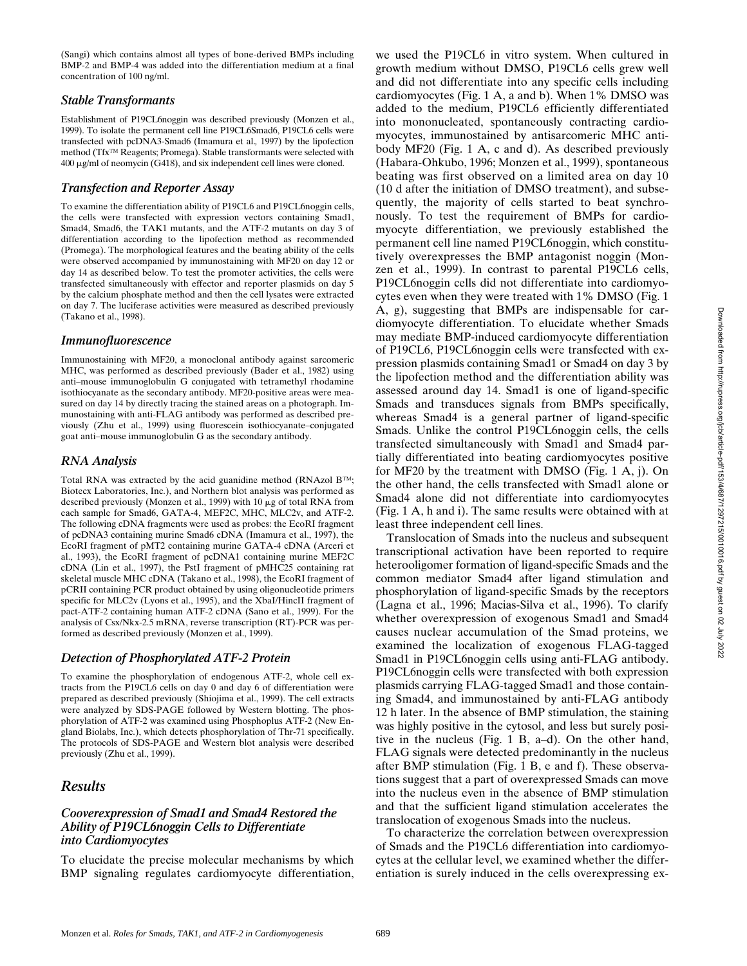(Sangi) which contains almost all types of bone-derived BMPs including BMP-2 and BMP-4 was added into the differentiation medium at a final concentration of 100 ng/ml.

## *Stable Transformants*

Establishment of P19CL6noggin was described previously (Monzen et al., 1999). To isolate the permanent cell line P19CL6Smad6, P19CL6 cells were transfected with pcDNA3-Smad6 (Imamura et al.*,* 1997) by the lipofection method (Tfx™ Reagents; Promega). Stable transformants were selected with  $400 \mu g/ml$  of neomycin (G418), and six independent cell lines were cloned.

# *Transfection and Reporter Assay*

To examine the differentiation ability of P19CL6 and P19CL6noggin cells, the cells were transfected with expression vectors containing Smad1, Smad4, Smad6, the TAK1 mutants, and the ATF-2 mutants on day 3 of differentiation according to the lipofection method as recommended (Promega). The morphological features and the beating ability of the cells were observed accompanied by immunostaining with MF20 on day 12 or day 14 as described below. To test the promoter activities, the cells were transfected simultaneously with effector and reporter plasmids on day 5 by the calcium phosphate method and then the cell lysates were extracted on day 7. The luciferase activities were measured as described previously (Takano et al., 1998).

## *Immunofluorescence*

Immunostaining with MF20, a monoclonal antibody against sarcomeric MHC, was performed as described previously (Bader et al., 1982) using anti–mouse immunoglobulin G conjugated with tetramethyl rhodamine isothiocyanate as the secondary antibody. MF20-positive areas were measured on day 14 by directly tracing the stained areas on a photograph. Immunostaining with anti-FLAG antibody was performed as described previously (Zhu et al., 1999) using fluorescein isothiocyanate–conjugated goat anti–mouse immunoglobulin G as the secondary antibody.

#### *RNA Analysis*

Total RNA was extracted by the acid guanidine method (RNAzol B™; Biotecx Laboratories, Inc.), and Northern blot analysis was performed as described previously (Monzen et al., 1999) with 10 µg of total RNA from each sample for Smad6, GATA-4, MEF2C, MHC, MLC2v, and ATF-2. The following cDNA fragments were used as probes: the EcoRI fragment of pcDNA3 containing murine Smad6 cDNA (Imamura et al., 1997), the EcoRI fragment of pMT2 containing murine GATA-4 cDNA (Arceri et al., 1993), the EcoRI fragment of pcDNA1 containing murine MEF2C cDNA (Lin et al., 1997), the PstI fragment of pMHC25 containing rat skeletal muscle MHC cDNA (Takano et al., 1998), the EcoRI fragment of pCRII containing PCR product obtained by using oligonucleotide primers specific for MLC2v (Lyons et al., 1995), and the XbaI/HincII fragment of pact-ATF-2 containing human ATF-2 cDNA (Sano et al., 1999). For the analysis of Csx/Nkx-2.5 mRNA, reverse transcription (RT)-PCR was performed as described previously (Monzen et al., 1999).

#### *Detection of Phosphorylated ATF-2 Protein*

To examine the phosphorylation of endogenous ATF-2, whole cell extracts from the P19CL6 cells on day 0 and day 6 of differentiation were prepared as described previously (Shiojima et al., 1999). The cell extracts were analyzed by SDS-PAGE followed by Western blotting. The phosphorylation of ATF-2 was examined using Phosphoplus ATF-2 (New England Biolabs, Inc.), which detects phosphorylation of Thr-71 specifically. The protocols of SDS-PAGE and Western blot analysis were described previously (Zhu et al., 1999).

## *Results*

#### *Cooverexpression of Smad1 and Smad4 Restored the Ability of P19CL6noggin Cells to Differentiate into Cardiomyocytes*

To elucidate the precise molecular mechanisms by which BMP signaling regulates cardiomyocyte differentiation, we used the P19CL6 in vitro system. When cultured in growth medium without DMSO, P19CL6 cells grew well and did not differentiate into any specific cells including cardiomyocytes (Fig. 1 A, a and b). When 1% DMSO was added to the medium, P19CL6 efficiently differentiated into mononucleated, spontaneously contracting cardiomyocytes, immunostained by antisarcomeric MHC antibody MF20 (Fig. 1 A, c and d). As described previously (Habara-Ohkubo, 1996; Monzen et al., 1999), spontaneous beating was first observed on a limited area on day 10 (10 d after the initiation of DMSO treatment), and subsequently, the majority of cells started to beat synchronously. To test the requirement of BMPs for cardiomyocyte differentiation, we previously established the permanent cell line named P19CL6noggin, which constitutively overexpresses the BMP antagonist noggin (Monzen et al., 1999). In contrast to parental P19CL6 cells, P19CL6noggin cells did not differentiate into cardiomyocytes even when they were treated with 1% DMSO (Fig. 1 A, g), suggesting that BMPs are indispensable for cardiomyocyte differentiation. To elucidate whether Smads may mediate BMP-induced cardiomyocyte differentiation of P19CL6, P19CL6noggin cells were transfected with expression plasmids containing Smad1 or Smad4 on day 3 by the lipofection method and the differentiation ability was assessed around day 14. Smad1 is one of ligand-specific Smads and transduces signals from BMPs specifically, whereas Smad4 is a general partner of ligand-specific Smads. Unlike the control P19CL6noggin cells, the cells transfected simultaneously with Smad1 and Smad4 partially differentiated into beating cardiomyocytes positive for MF20 by the treatment with DMSO (Fig. 1 A, j). On the other hand, the cells transfected with Smad1 alone or Smad4 alone did not differentiate into cardiomyocytes (Fig. 1 A, h and i). The same results were obtained with at least three independent cell lines.

Translocation of Smads into the nucleus and subsequent transcriptional activation have been reported to require heterooligomer formation of ligand-specific Smads and the common mediator Smad4 after ligand stimulation and phosphorylation of ligand-specific Smads by the receptors (Lagna et al., 1996; Macias-Silva et al., 1996). To clarify whether overexpression of exogenous Smad1 and Smad4 causes nuclear accumulation of the Smad proteins, we examined the localization of exogenous FLAG-tagged Smad1 in P19CL6noggin cells using anti-FLAG antibody. P19CL6noggin cells were transfected with both expression plasmids carrying FLAG-tagged Smad1 and those containing Smad4, and immunostained by anti-FLAG antibody 12 h later. In the absence of BMP stimulation, the staining was highly positive in the cytosol, and less but surely positive in the nucleus (Fig. 1 B, a–d). On the other hand, FLAG signals were detected predominantly in the nucleus after BMP stimulation (Fig. 1 B, e and f). These observations suggest that a part of overexpressed Smads can move into the nucleus even in the absence of BMP stimulation and that the sufficient ligand stimulation accelerates the translocation of exogenous Smads into the nucleus.

To characterize the correlation between overexpression of Smads and the P19CL6 differentiation into cardiomyocytes at the cellular level, we examined whether the differentiation is surely induced in the cells overexpressing ex-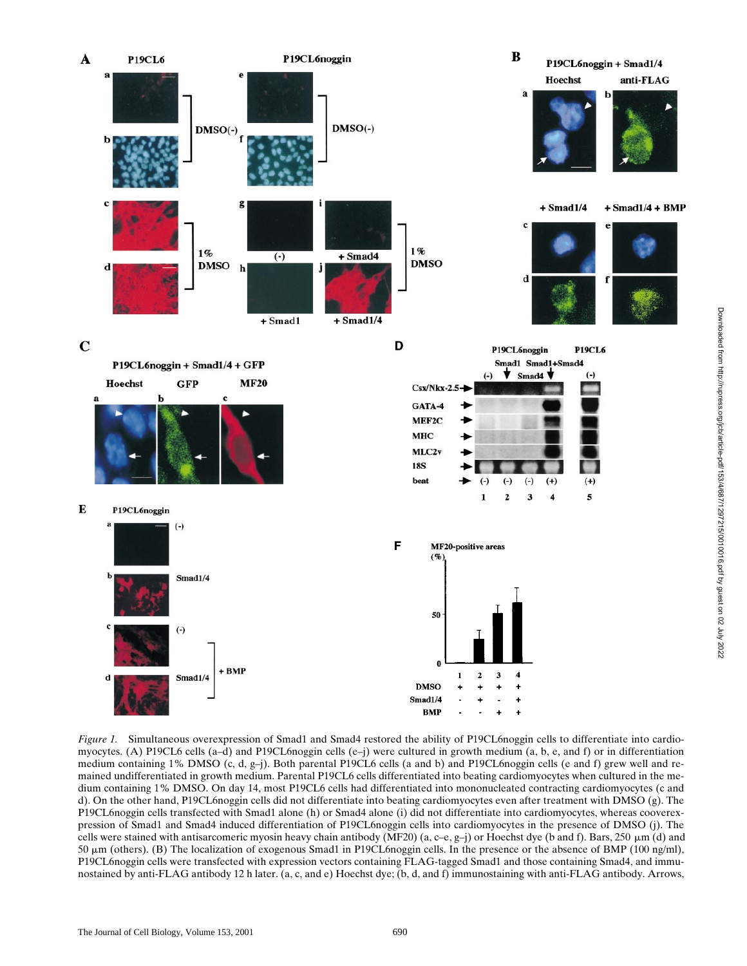

*Figure 1.* Simultaneous overexpression of Smad1 and Smad4 restored the ability of P19CL6noggin cells to differentiate into cardiomyocytes. (A) P19CL6 cells (a–d) and P19CL6noggin cells (e–j) were cultured in growth medium (a, b, e, and f) or in differentiation medium containing 1% DMSO (c, d, g–j). Both parental P19CL6 cells (a and b) and P19CL6noggin cells (e and f) grew well and remained undifferentiated in growth medium. Parental P19CL6 cells differentiated into beating cardiomyocytes when cultured in the medium containing 1% DMSO. On day 14, most P19CL6 cells had differentiated into mononucleated contracting cardiomyocytes (c and d). On the other hand, P19CL6noggin cells did not differentiate into beating cardiomyocytes even after treatment with DMSO (g). The P19CL6noggin cells transfected with Smad1 alone (h) or Smad4 alone (i) did not differentiate into cardiomyocytes, whereas cooverexpression of Smad1 and Smad4 induced differentiation of P19CL6noggin cells into cardiomyocytes in the presence of DMSO (j). The cells were stained with antisarcomeric myosin heavy chain antibody (MF20) (a, c–e, g–j) or Hoechst dye (b and f). Bars, 250  $\mu$ m (d) and 50 mm (others). (B) The localization of exogenous Smad1 in P19CL6noggin cells. In the presence or the absence of BMP (100 ng/ml), P19CL6noggin cells were transfected with expression vectors containing FLAG-tagged Smad1 and those containing Smad4, and immunostained by anti-FLAG antibody 12 h later. (a, c, and e) Hoechst dye; (b, d, and f) immunostaining with anti-FLAG antibody. Arrows,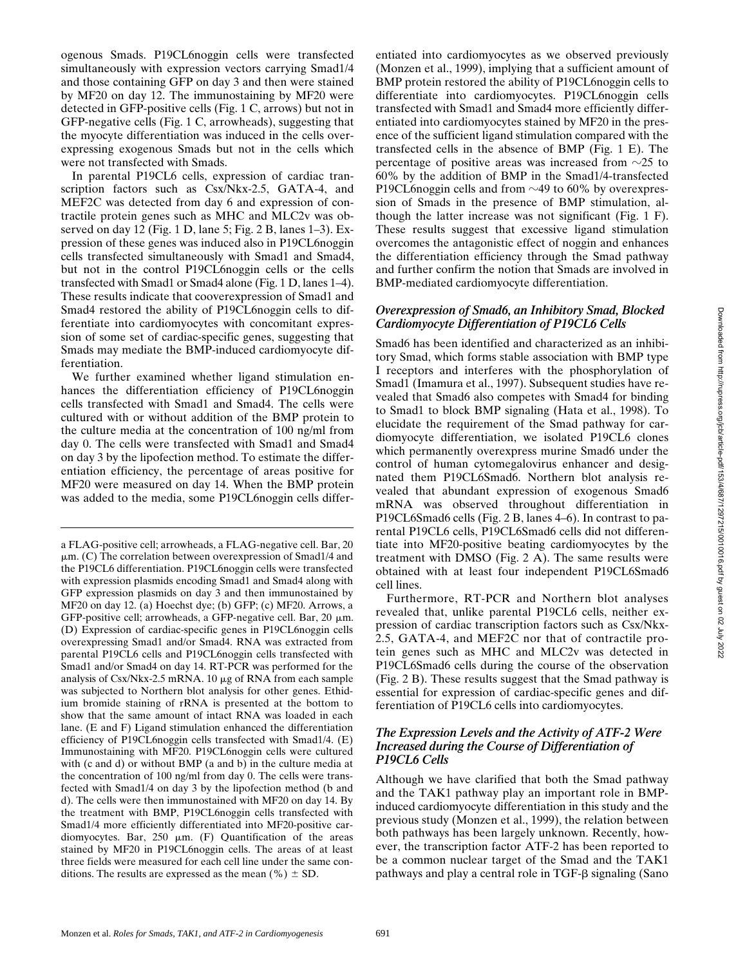ogenous Smads. P19CL6noggin cells were transfected simultaneously with expression vectors carrying Smad1/4 and those containing GFP on day 3 and then were stained by MF20 on day 12. The immunostaining by MF20 were detected in GFP-positive cells (Fig. 1 C, arrows) but not in GFP-negative cells (Fig. 1 C, arrowheads), suggesting that the myocyte differentiation was induced in the cells overexpressing exogenous Smads but not in the cells which were not transfected with Smads.

In parental P19CL6 cells, expression of cardiac transcription factors such as Csx/Nkx-2.5, GATA-4, and MEF2C was detected from day 6 and expression of contractile protein genes such as MHC and MLC2v was observed on day 12 (Fig. 1 D, lane 5; Fig. 2 B, lanes 1–3). Expression of these genes was induced also in P19CL6noggin cells transfected simultaneously with Smad1 and Smad4, but not in the control P19CL6noggin cells or the cells transfected with Smad1 or Smad4 alone (Fig. 1 D, lanes 1–4). These results indicate that cooverexpression of Smad1 and Smad4 restored the ability of P19CL6noggin cells to differentiate into cardiomyocytes with concomitant expression of some set of cardiac-specific genes, suggesting that Smads may mediate the BMP-induced cardiomyocyte differentiation.

We further examined whether ligand stimulation enhances the differentiation efficiency of P19CL6noggin cells transfected with Smad1 and Smad4. The cells were cultured with or without addition of the BMP protein to the culture media at the concentration of 100 ng/ml from day 0. The cells were transfected with Smad1 and Smad4 on day 3 by the lipofection method. To estimate the differentiation efficiency, the percentage of areas positive for MF20 were measured on day 14. When the BMP protein was added to the media, some P19CL6noggin cells differentiated into cardiomyocytes as we observed previously (Monzen et al., 1999), implying that a sufficient amount of BMP protein restored the ability of P19CL6noggin cells to differentiate into cardiomyocytes. P19CL6noggin cells transfected with Smad1 and Smad4 more efficiently differentiated into cardiomyocytes stained by MF20 in the presence of the sufficient ligand stimulation compared with the transfected cells in the absence of BMP (Fig. 1 E). The percentage of positive areas was increased from  $\sim$ 25 to 60% by the addition of BMP in the Smad1/4-transfected P19CL6noggin cells and from  $\sim$ 49 to 60% by overexpression of Smads in the presence of BMP stimulation, although the latter increase was not significant (Fig. 1 F). These results suggest that excessive ligand stimulation overcomes the antagonistic effect of noggin and enhances the differentiation efficiency through the Smad pathway and further confirm the notion that Smads are involved in BMP-mediated cardiomyocyte differentiation.

#### *Overexpression of Smad6, an Inhibitory Smad, Blocked Cardiomyocyte Differentiation of P19CL6 Cells*

Smad6 has been identified and characterized as an inhibitory Smad, which forms stable association with BMP type I receptors and interferes with the phosphorylation of Smad1 (Imamura et al., 1997). Subsequent studies have revealed that Smad6 also competes with Smad4 for binding to Smad1 to block BMP signaling (Hata et al., 1998). To elucidate the requirement of the Smad pathway for cardiomyocyte differentiation, we isolated P19CL6 clones which permanently overexpress murine Smad6 under the control of human cytomegalovirus enhancer and designated them P19CL6Smad6. Northern blot analysis revealed that abundant expression of exogenous Smad6 mRNA was observed throughout differentiation in P19CL6Smad6 cells (Fig. 2 B, lanes 4–6). In contrast to parental P19CL6 cells, P19CL6Smad6 cells did not differentiate into MF20-positive beating cardiomyocytes by the treatment with DMSO (Fig. 2 A). The same results were obtained with at least four independent P19CL6Smad6 cell lines.

Furthermore, RT-PCR and Northern blot analyses revealed that, unlike parental P19CL6 cells, neither expression of cardiac transcription factors such as Csx/Nkx-2.5, GATA-4, and MEF2C nor that of contractile protein genes such as MHC and MLC2v was detected in P19CL6Smad6 cells during the course of the observation (Fig. 2 B). These results suggest that the Smad pathway is essential for expression of cardiac-specific genes and differentiation of P19CL6 cells into cardiomyocytes.

#### *The Expression Levels and the Activity of ATF-2 Were Increased during the Course of Differentiation of P19CL6 Cells*

Although we have clarified that both the Smad pathway and the TAK1 pathway play an important role in BMPinduced cardiomyocyte differentiation in this study and the previous study (Monzen et al., 1999), the relation between both pathways has been largely unknown. Recently, however, the transcription factor ATF-2 has been reported to be a common nuclear target of the Smad and the TAK1 pathways and play a central role in  $TGF- $\beta$  signaling (Sano$ 

a FLAG-positive cell; arrowheads, a FLAG-negative cell. Bar, 20  $\mu$ m. (C) The correlation between overexpression of Smad1/4 and the P19CL6 differentiation. P19CL6noggin cells were transfected with expression plasmids encoding Smad1 and Smad4 along with GFP expression plasmids on day 3 and then immunostained by MF20 on day 12. (a) Hoechst dye; (b) GFP; (c) MF20. Arrows, a GFP-positive cell; arrowheads, a GFP-negative cell. Bar, 20  $\mu$ m. (D) Expression of cardiac-specific genes in P19CL6noggin cells overexpressing Smad1 and/or Smad4. RNA was extracted from parental P19CL6 cells and P19CL6noggin cells transfected with Smad1 and/or Smad4 on day 14. RT-PCR was performed for the analysis of Csx/Nkx-2.5 mRNA. 10 mg of RNA from each sample was subjected to Northern blot analysis for other genes. Ethidium bromide staining of rRNA is presented at the bottom to show that the same amount of intact RNA was loaded in each lane. (E and F) Ligand stimulation enhanced the differentiation efficiency of P19CL6noggin cells transfected with Smad1/4. (E) Immunostaining with MF20. P19CL6noggin cells were cultured with (c and d) or without BMP (a and b) in the culture media at the concentration of 100 ng/ml from day 0. The cells were transfected with Smad1/4 on day 3 by the lipofection method (b and d). The cells were then immunostained with MF20 on day 14. By the treatment with BMP, P19CL6noggin cells transfected with Smad1/4 more efficiently differentiated into MF20-positive cardiomyocytes. Bar,  $250 \mu m$ . (F) Quantification of the areas stained by MF20 in P19CL6noggin cells. The areas of at least three fields were measured for each cell line under the same conditions. The results are expressed as the mean  $(\% ) \pm SD$ .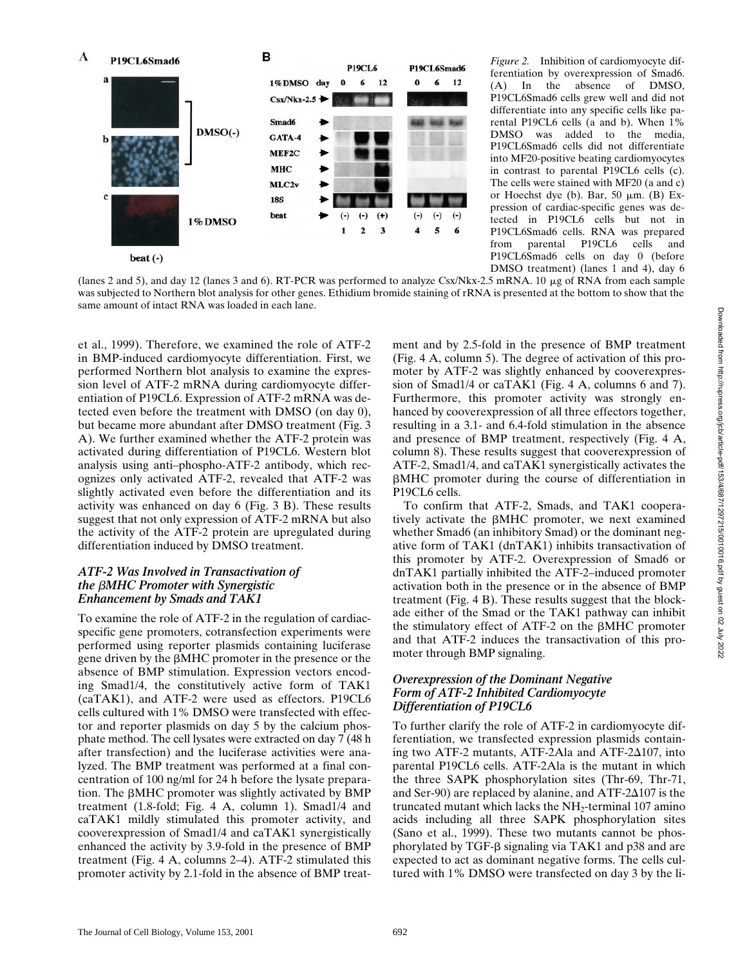

*Figure 2.* Inhibition of cardiomyocyte differentiation by overexpression of Smad6. (A) In the absence of DMSO, P19CL6Smad6 cells grew well and did not differentiate into any specific cells like parental P19CL6 cells (a and b). When 1% DMSO was added to the media, P19CL6Smad6 cells did not differentiate into MF20-positive beating cardiomyocytes in contrast to parental P19CL6 cells (c). The cells were stained with MF20 (a and c) or Hoechst dye (b). Bar, 50  $\mu$ m. (B) Expression of cardiac-specific genes was detected in P19CL6 cells but not in P19CL6Smad6 cells. RNA was prepared from parental P19CL6 cells and P19CL6Smad6 cells on day 0 (before DMSO treatment) (lanes 1 and 4), day 6

(lanes 2 and 5), and day 12 (lanes 3 and 6). RT-PCR was performed to analyze Csx/Nkx-2.5 mRNA. 10  $\mu$ g of RNA from each sample was subjected to Northern blot analysis for other genes. Ethidium bromide staining of rRNA is presented at the bottom to show that the same amount of intact RNA was loaded in each lane.

et al., 1999). Therefore, we examined the role of ATF-2 in BMP-induced cardiomyocyte differentiation. First, we performed Northern blot analysis to examine the expression level of ATF-2 mRNA during cardiomyocyte differentiation of P19CL6. Expression of ATF-2 mRNA was detected even before the treatment with DMSO (on day 0), but became more abundant after DMSO treatment (Fig. 3 A). We further examined whether the ATF-2 protein was activated during differentiation of P19CL6. Western blot analysis using anti–phospho-ATF-2 antibody, which recognizes only activated ATF-2, revealed that ATF-2 was slightly activated even before the differentiation and its activity was enhanced on day 6 (Fig. 3 B). These results suggest that not only expression of ATF-2 mRNA but also the activity of the ATF-2 protein are upregulated during differentiation induced by DMSO treatment.

#### *ATF-2 Was Involved in Transactivation of the* b*MHC Promoter with Synergistic Enhancement by Smads and TAK1*

To examine the role of ATF-2 in the regulation of cardiacspecific gene promoters, cotransfection experiments were performed using reporter plasmids containing luciferase gene driven by the  $\beta$ MHC promoter in the presence or the absence of BMP stimulation. Expression vectors encoding Smad1/4, the constitutively active form of TAK1 (caTAK1), and ATF-2 were used as effectors. P19CL6 cells cultured with 1% DMSO were transfected with effector and reporter plasmids on day 5 by the calcium phosphate method. The cell lysates were extracted on day 7 (48 h after transfection) and the luciferase activities were analyzed. The BMP treatment was performed at a final concentration of 100 ng/ml for 24 h before the lysate preparation. The  $\beta$ MHC promoter was slightly activated by BMP treatment (1.8-fold; Fig. 4 A, column 1). Smad1/4 and caTAK1 mildly stimulated this promoter activity, and cooverexpression of Smad1/4 and caTAK1 synergistically enhanced the activity by 3.9-fold in the presence of BMP treatment (Fig. 4 A, columns 2–4). ATF-2 stimulated this promoter activity by 2.1-fold in the absence of BMP treatment and by 2.5-fold in the presence of BMP treatment (Fig. 4 A, column 5). The degree of activation of this promoter by ATF-2 was slightly enhanced by cooverexpression of Smad1/4 or caTAK1 (Fig. 4 A, columns 6 and 7). Furthermore, this promoter activity was strongly enhanced by cooverexpression of all three effectors together, resulting in a 3.1- and 6.4-fold stimulation in the absence and presence of BMP treatment, respectively (Fig. 4 A, column 8). These results suggest that cooverexpression of ATF-2, Smad1/4, and caTAK1 synergistically activates the bMHC promoter during the course of differentiation in P19CL6 cells.

To confirm that ATF-2, Smads, and TAK1 cooperatively activate the  $\beta$ MHC promoter, we next examined whether Smad6 (an inhibitory Smad) or the dominant negative form of TAK1 (dnTAK1) inhibits transactivation of this promoter by ATF-2. Overexpression of Smad6 or dnTAK1 partially inhibited the ATF-2–induced promoter activation both in the presence or in the absence of BMP treatment (Fig. 4 B). These results suggest that the blockade either of the Smad or the TAK1 pathway can inhibit the stimulatory effect of ATF-2 on the  $\beta$ MHC promoter and that ATF-2 induces the transactivation of this promoter through BMP signaling.

## *Overexpression of the Dominant Negative Form of ATF-2 Inhibited Cardiomyocyte Differentiation of P19CL6*

To further clarify the role of ATF-2 in cardiomyocyte differentiation, we transfected expression plasmids containing two ATF-2 mutants, ATF-2Ala and ATF-2 $\Delta$ 107, into parental P19CL6 cells. ATF-2Ala is the mutant in which the three SAPK phosphorylation sites (Thr-69, Thr-71, and Ser-90) are replaced by alanine, and  $\text{ATF-2}\Delta 107$  is the truncated mutant which lacks the  $NH<sub>2</sub>$ -terminal 107 amino acids including all three SAPK phosphorylation sites (Sano et al., 1999). These two mutants cannot be phosphorylated by TGF- $\beta$  signaling via TAK1 and p38 and are expected to act as dominant negative forms. The cells cultured with 1% DMSO were transfected on day 3 by the li-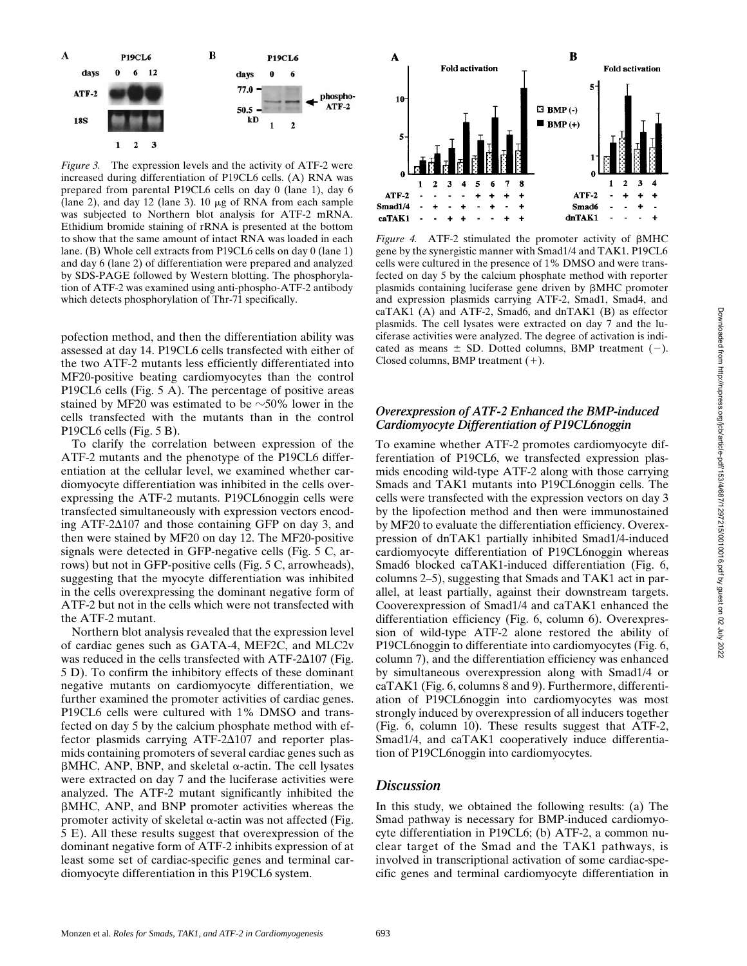*Figure 3.* The expression levels and the activity of ATF-2 were increased during differentiation of P19CL6 cells. (A) RNA was prepared from parental P19CL6 cells on day 0 (lane 1), day 6 (lane 2), and day 12 (lane 3).  $10 \mu g$  of RNA from each sample was subjected to Northern blot analysis for ATF-2 mRNA. Ethidium bromide staining of rRNA is presented at the bottom to show that the same amount of intact RNA was loaded in each lane. (B) Whole cell extracts from P19CL6 cells on day 0 (lane 1) and day 6 (lane 2) of differentiation were prepared and analyzed by SDS-PAGE followed by Western blotting. The phosphorylation of ATF-2 was examined using anti-phospho-ATF-2 antibody which detects phosphorylation of Thr-71 specifically.

pofection method, and then the differentiation ability was assessed at day 14. P19CL6 cells transfected with either of the two ATF-2 mutants less efficiently differentiated into MF20-positive beating cardiomyocytes than the control P19CL6 cells (Fig. 5 A). The percentage of positive areas stained by MF20 was estimated to be  $\sim$ 50% lower in the cells transfected with the mutants than in the control P19CL6 cells (Fig. 5 B).

To clarify the correlation between expression of the ATF-2 mutants and the phenotype of the P19CL6 differentiation at the cellular level, we examined whether cardiomyocyte differentiation was inhibited in the cells overexpressing the ATF-2 mutants. P19CL6noggin cells were transfected simultaneously with expression vectors encoding ATF-2 $\Delta$ 107 and those containing GFP on day 3, and then were stained by MF20 on day 12. The MF20-positive signals were detected in GFP-negative cells (Fig. 5 C, arrows) but not in GFP-positive cells (Fig. 5 C, arrowheads), suggesting that the myocyte differentiation was inhibited in the cells overexpressing the dominant negative form of ATF-2 but not in the cells which were not transfected with the ATF-2 mutant.

Northern blot analysis revealed that the expression level of cardiac genes such as GATA-4, MEF2C, and MLC2v was reduced in the cells transfected with  $\text{ATF-2}\Delta 107$  (Fig. 5 D). To confirm the inhibitory effects of these dominant negative mutants on cardiomyocyte differentiation, we further examined the promoter activities of cardiac genes. P19CL6 cells were cultured with 1% DMSO and transfected on day 5 by the calcium phosphate method with effector plasmids carrying  $ATF-2\Delta 107$  and reporter plasmids containing promoters of several cardiac genes such as  $\beta$ MHC, ANP, BNP, and skeletal  $\alpha$ -actin. The cell lysates were extracted on day 7 and the luciferase activities were analyzed. The ATF-2 mutant significantly inhibited the bMHC, ANP, and BNP promoter activities whereas the promoter activity of skeletal  $\alpha$ -actin was not affected (Fig. 5 E). All these results suggest that overexpression of the dominant negative form of ATF-2 inhibits expression of at least some set of cardiac-specific genes and terminal cardiomyocyte differentiation in this P19CL6 system.



Figure 4. ATF-2 stimulated the promoter activity of  $\beta$ MHC gene by the synergistic manner with Smad1/4 and TAK1. P19CL6 cells were cultured in the presence of 1% DMSO and were transfected on day 5 by the calcium phosphate method with reporter plasmids containing luciferase gene driven by  $\beta$ MHC promoter and expression plasmids carrying ATF-2, Smad1, Smad4, and  $caTAK1$  (A) and ATF-2, Smad6, and dnTAK1 (B) as effector plasmids. The cell lysates were extracted on day 7 and the luciferase activities were analyzed. The degree of activation is indicated as means  $\pm$  SD. Dotted columns, BMP treatment (-). Closed columns, BMP treatment  $(+)$ .

#### *Overexpression of ATF-2 Enhanced the BMP-induced Cardiomyocyte Differentiation of P19CL6noggin*

To examine whether ATF-2 promotes cardiomyocyte differentiation of P19CL6, we transfected expression plasmids encoding wild-type ATF-2 along with those carrying Smads and TAK1 mutants into P19CL6noggin cells. The cells were transfected with the expression vectors on day 3 by the lipofection method and then were immunostained by MF20 to evaluate the differentiation efficiency. Overexpression of dnTAK1 partially inhibited Smad1/4-induced cardiomyocyte differentiation of P19CL6noggin whereas Smad6 blocked caTAK1-induced differentiation (Fig. 6, columns 2–5), suggesting that Smads and TAK1 act in parallel, at least partially, against their downstream targets. Cooverexpression of Smad1/4 and caTAK1 enhanced the differentiation efficiency (Fig. 6, column 6). Overexpression of wild-type ATF-2 alone restored the ability of P19CL6noggin to differentiate into cardiomyocytes (Fig. 6, column 7), and the differentiation efficiency was enhanced by simultaneous overexpression along with Smad1/4 or caTAK1 (Fig. 6, columns 8 and 9). Furthermore, differentiation of P19CL6noggin into cardiomyocytes was most strongly induced by overexpression of all inducers together (Fig. 6, column 10). These results suggest that ATF-2, Smad1/4, and caTAK1 cooperatively induce differentiation of P19CL6noggin into cardiomyocytes.

## *Discussion*

In this study, we obtained the following results: (a) The Smad pathway is necessary for BMP-induced cardiomyocyte differentiation in P19CL6; (b) ATF-2, a common nuclear target of the Smad and the TAK1 pathways, is involved in transcriptional activation of some cardiac-specific genes and terminal cardiomyocyte differentiation in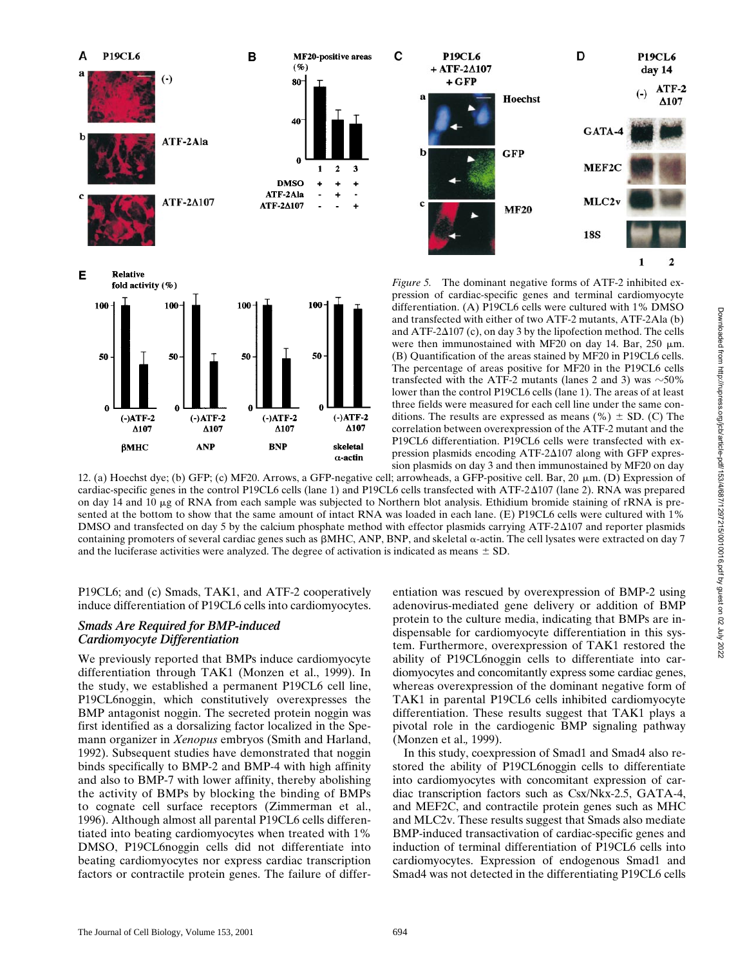

 $\Delta 107$  $\Delta 107$  $\Delta 107$  $\Delta107$ correlation between overexpression of the ATF-2 mutant and the P19CL6 differentiation. P19CL6 cells were transfected with exβМНС **ANP BNP** skeletal pression plasmids encoding ATF- $2\Delta 107$  along with GFP expres- $\alpha$ -actin sion plasmids on day 3 and then immunostained by MF20 on day 12. (a) Hoechst dye; (b) GFP; (c) MF20. Arrows, a GFP-negative cell; arrowheads, a GFP-positive cell. Bar, 20  $\mu$ m. (D) Expression of cardiac-specific genes in the control P19CL6 cells (lane 1) and P19CL6 cells transfected with ATF-2D107 (lane 2). RNA was prepared on day 14 and 10  $\mu$ g of RNA from each sample was subjected to Northern blot analysis. Ethidium bromide staining of rRNA is presented at the bottom to show that the same amount of intact RNA was loaded in each lane. (E) P19CL6 cells were cultured with 1% DMSO and transfected on day 5 by the calcium phosphate method with effector plasmids carrying  $\text{ATF-2}\Delta 107$  and reporter plasmids containing promoters of several cardiac genes such as  $\beta$ MHC, ANP, BNP, and skeletal  $\alpha$ -actin. The cell lysates were extracted on day 7 and the luciferase activities were analyzed. The degree of activation is indicated as means  $\pm$  SD.

P19CL6; and (c) Smads, TAK1, and ATF-2 cooperatively induce differentiation of P19CL6 cells into cardiomyocytes.

## *Smads Are Required for BMP-induced Cardiomyocyte Differentiation*

We previously reported that BMPs induce cardiomyocyte differentiation through TAK1 (Monzen et al., 1999). In the study, we established a permanent P19CL6 cell line, P19CL6noggin, which constitutively overexpresses the BMP antagonist noggin. The secreted protein noggin was first identified as a dorsalizing factor localized in the Spemann organizer in *Xenopus* embryos (Smith and Harland, 1992). Subsequent studies have demonstrated that noggin binds specifically to BMP-2 and BMP-4 with high affinity and also to BMP-7 with lower affinity, thereby abolishing the activity of BMPs by blocking the binding of BMPs to cognate cell surface receptors (Zimmerman et al., 1996). Although almost all parental P19CL6 cells differentiated into beating cardiomyocytes when treated with 1% DMSO, P19CL6noggin cells did not differentiate into beating cardiomyocytes nor express cardiac transcription factors or contractile protein genes. The failure of differentiation was rescued by overexpression of BMP-2 using adenovirus-mediated gene delivery or addition of BMP protein to the culture media, indicating that BMPs are indispensable for cardiomyocyte differentiation in this system. Furthermore, overexpression of TAK1 restored the ability of P19CL6noggin cells to differentiate into cardiomyocytes and concomitantly express some cardiac genes, whereas overexpression of the dominant negative form of TAK1 in parental P19CL6 cells inhibited cardiomyocyte differentiation. These results suggest that TAK1 plays a pivotal role in the cardiogenic BMP signaling pathway (Monzen et al.*,* 1999).

In this study, coexpression of Smad1 and Smad4 also restored the ability of P19CL6noggin cells to differentiate into cardiomyocytes with concomitant expression of cardiac transcription factors such as Csx/Nkx-2.5, GATA-4, and MEF2C, and contractile protein genes such as MHC and MLC2v. These results suggest that Smads also mediate BMP-induced transactivation of cardiac-specific genes and induction of terminal differentiation of P19CL6 cells into cardiomyocytes. Expression of endogenous Smad1 and Smad4 was not detected in the differentiating P19CL6 cells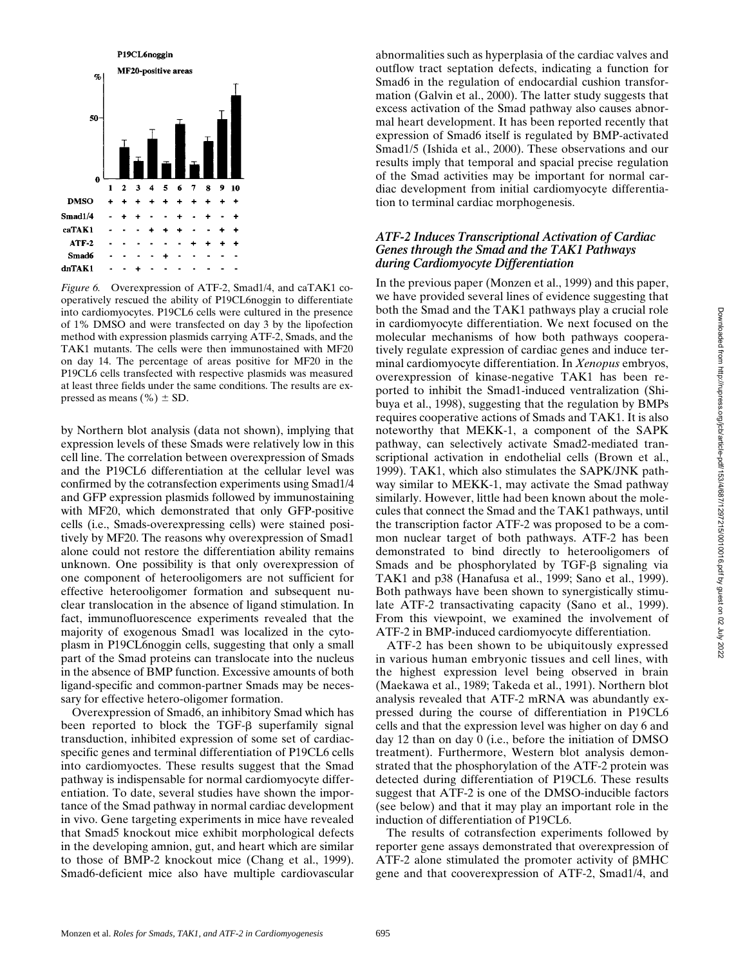

*Figure 6.* Overexpression of ATF-2, Smad1/4, and caTAK1 cooperatively rescued the ability of P19CL6noggin to differentiate into cardiomyocytes. P19CL6 cells were cultured in the presence of 1% DMSO and were transfected on day 3 by the lipofection method with expression plasmids carrying ATF-2, Smads, and the TAK1 mutants. The cells were then immunostained with MF20 on day 14. The percentage of areas positive for MF20 in the P19CL6 cells transfected with respective plasmids was measured at least three fields under the same conditions. The results are expressed as means (%)  $\pm$  SD.

by Northern blot analysis (data not shown), implying that expression levels of these Smads were relatively low in this cell line. The correlation between overexpression of Smads and the P19CL6 differentiation at the cellular level was confirmed by the cotransfection experiments using Smad1/4 and GFP expression plasmids followed by immunostaining with MF20, which demonstrated that only GFP-positive cells (i.e., Smads-overexpressing cells) were stained positively by MF20. The reasons why overexpression of Smad1 alone could not restore the differentiation ability remains unknown. One possibility is that only overexpression of one component of heterooligomers are not sufficient for effective heterooligomer formation and subsequent nuclear translocation in the absence of ligand stimulation. In fact, immunofluorescence experiments revealed that the majority of exogenous Smad1 was localized in the cytoplasm in P19CL6noggin cells, suggesting that only a small part of the Smad proteins can translocate into the nucleus in the absence of BMP function. Excessive amounts of both ligand-specific and common-partner Smads may be necessary for effective hetero-oligomer formation.

Overexpression of Smad6, an inhibitory Smad which has been reported to block the  $TGF- $\beta$  superfamily signal$ transduction, inhibited expression of some set of cardiacspecific genes and terminal differentiation of P19CL6 cells into cardiomyoctes. These results suggest that the Smad pathway is indispensable for normal cardiomyocyte differentiation. To date, several studies have shown the importance of the Smad pathway in normal cardiac development in vivo. Gene targeting experiments in mice have revealed that Smad5 knockout mice exhibit morphological defects in the developing amnion, gut, and heart which are similar to those of BMP-2 knockout mice (Chang et al., 1999). Smad6-deficient mice also have multiple cardiovascular abnormalities such as hyperplasia of the cardiac valves and outflow tract septation defects, indicating a function for Smad6 in the regulation of endocardial cushion transformation (Galvin et al., 2000). The latter study suggests that excess activation of the Smad pathway also causes abnormal heart development. It has been reported recently that expression of Smad6 itself is regulated by BMP-activated Smad1/5 (Ishida et al., 2000). These observations and our results imply that temporal and spacial precise regulation of the Smad activities may be important for normal cardiac development from initial cardiomyocyte differentiation to terminal cardiac morphogenesis.

#### *ATF-2 Induces Transcriptional Activation of Cardiac Genes through the Smad and the TAK1 Pathways during Cardiomyocyte Differentiation*

In the previous paper (Monzen et al., 1999) and this paper, we have provided several lines of evidence suggesting that both the Smad and the TAK1 pathways play a crucial role in cardiomyocyte differentiation. We next focused on the molecular mechanisms of how both pathways cooperatively regulate expression of cardiac genes and induce terminal cardiomyocyte differentiation. In *Xenopus* embryos, overexpression of kinase-negative TAK1 has been reported to inhibit the Smad1-induced ventralization (Shibuya et al., 1998), suggesting that the regulation by BMPs requires cooperative actions of Smads and TAK1. It is also noteworthy that MEKK-1, a component of the SAPK pathway, can selectively activate Smad2-mediated transcriptional activation in endothelial cells (Brown et al., 1999). TAK1, which also stimulates the SAPK/JNK pathway similar to MEKK-1, may activate the Smad pathway similarly. However, little had been known about the molecules that connect the Smad and the TAK1 pathways, until the transcription factor ATF-2 was proposed to be a common nuclear target of both pathways. ATF-2 has been demonstrated to bind directly to heterooligomers of Smads and be phosphorylated by  $TGF- $\beta$  signaling via$ TAK1 and p38 (Hanafusa et al., 1999; Sano et al., 1999). Both pathways have been shown to synergistically stimulate ATF-2 transactivating capacity (Sano et al., 1999). From this viewpoint, we examined the involvement of ATF-2 in BMP-induced cardiomyocyte differentiation.

ATF-2 has been shown to be ubiquitously expressed in various human embryonic tissues and cell lines, with the highest expression level being observed in brain (Maekawa et al., 1989; Takeda et al., 1991). Northern blot analysis revealed that ATF-2 mRNA was abundantly expressed during the course of differentiation in P19CL6 cells and that the expression level was higher on day 6 and day 12 than on day 0 (i.e., before the initiation of DMSO treatment). Furthermore, Western blot analysis demonstrated that the phosphorylation of the ATF-2 protein was detected during differentiation of P19CL6. These results suggest that ATF-2 is one of the DMSO-inducible factors (see below) and that it may play an important role in the induction of differentiation of P19CL6.

The results of cotransfection experiments followed by reporter gene assays demonstrated that overexpression of ATF-2 alone stimulated the promoter activity of  $\beta$ MHC gene and that cooverexpression of ATF-2, Smad1/4, and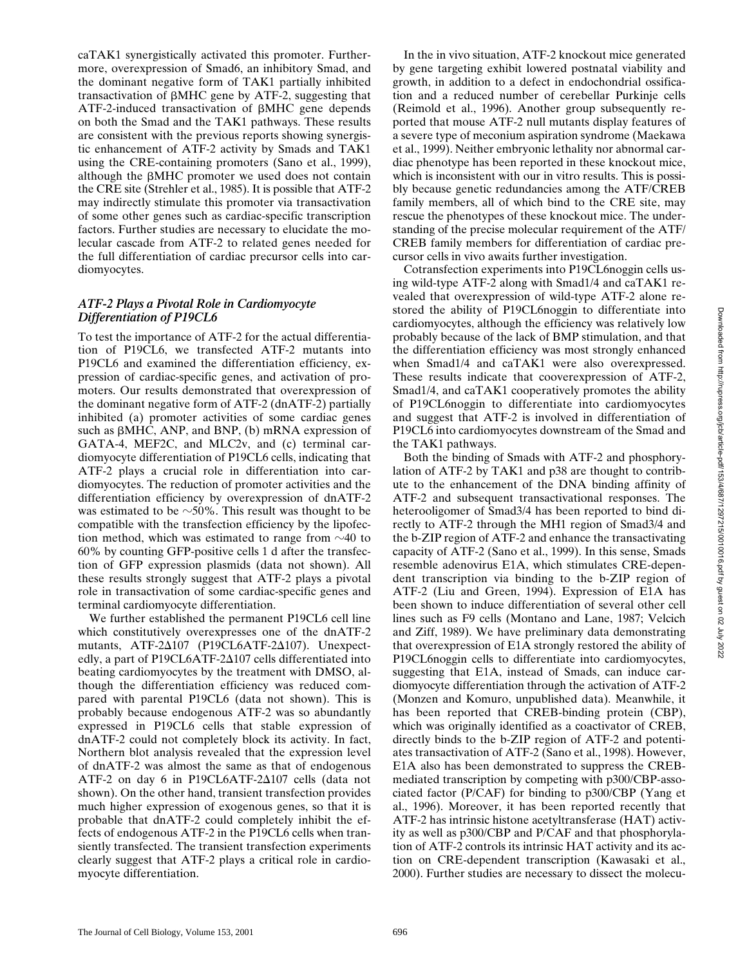caTAK1 synergistically activated this promoter. Furthermore, overexpression of Smad6, an inhibitory Smad, and the dominant negative form of TAK1 partially inhibited transactivation of  $\beta$ MHC gene by ATF-2, suggesting that ATF-2-induced transactivation of  $\beta$ MHC gene depends on both the Smad and the TAK1 pathways. These results are consistent with the previous reports showing synergistic enhancement of ATF-2 activity by Smads and TAK1 using the CRE-containing promoters (Sano et al., 1999), although the  $\beta$ MHC promoter we used does not contain the CRE site (Strehler et al., 1985). It is possible that ATF-2 may indirectly stimulate this promoter via transactivation of some other genes such as cardiac-specific transcription factors. Further studies are necessary to elucidate the molecular cascade from ATF-2 to related genes needed for the full differentiation of cardiac precursor cells into cardiomyocytes.

#### *ATF-2 Plays a Pivotal Role in Cardiomyocyte Differentiation of P19CL6*

To test the importance of ATF-2 for the actual differentiation of P19CL6, we transfected ATF-2 mutants into P19CL6 and examined the differentiation efficiency, expression of cardiac-specific genes, and activation of promoters. Our results demonstrated that overexpression of the dominant negative form of ATF-2 (dnATF-2) partially inhibited (a) promoter activities of some cardiac genes such as  $\beta$ MHC, ANP, and BNP, (b) mRNA expression of GATA-4, MEF2C, and MLC2v, and (c) terminal cardiomyocyte differentiation of P19CL6 cells, indicating that ATF-2 plays a crucial role in differentiation into cardiomyocytes. The reduction of promoter activities and the differentiation efficiency by overexpression of dnATF-2 was estimated to be  $\sim$ 50%. This result was thought to be compatible with the transfection efficiency by the lipofection method, which was estimated to range from  $\sim$ 40 to 60% by counting GFP-positive cells 1 d after the transfection of GFP expression plasmids (data not shown). All these results strongly suggest that ATF-2 plays a pivotal role in transactivation of some cardiac-specific genes and terminal cardiomyocyte differentiation.

We further established the permanent P19CL6 cell line which constitutively overexpresses one of the dnATF-2 mutants,  $ATF-2\Delta 107$  (P19CL6ATF-2 $\Delta 107$ ). Unexpectedly, a part of P19CL6ATF-2 $\Delta$ 107 cells differentiated into beating cardiomyocytes by the treatment with DMSO, although the differentiation efficiency was reduced compared with parental P19CL6 (data not shown). This is probably because endogenous ATF-2 was so abundantly expressed in P19CL6 cells that stable expression of dnATF-2 could not completely block its activity. In fact, Northern blot analysis revealed that the expression level of dnATF-2 was almost the same as that of endogenous ATF-2 on day 6 in P19CL6ATF-2 $\Delta$ 107 cells (data not shown). On the other hand, transient transfection provides much higher expression of exogenous genes, so that it is probable that dnATF-2 could completely inhibit the effects of endogenous ATF-2 in the P19CL6 cells when transiently transfected. The transient transfection experiments clearly suggest that ATF-2 plays a critical role in cardiomyocyte differentiation.

In the in vivo situation, ATF-2 knockout mice generated by gene targeting exhibit lowered postnatal viability and growth, in addition to a defect in endochondrial ossification and a reduced number of cerebellar Purkinje cells (Reimold et al., 1996). Another group subsequently reported that mouse ATF-2 null mutants display features of a severe type of meconium aspiration syndrome (Maekawa et al., 1999). Neither embryonic lethality nor abnormal cardiac phenotype has been reported in these knockout mice, which is inconsistent with our in vitro results. This is possibly because genetic redundancies among the ATF/CREB family members, all of which bind to the CRE site, may rescue the phenotypes of these knockout mice. The understanding of the precise molecular requirement of the ATF/ CREB family members for differentiation of cardiac precursor cells in vivo awaits further investigation.

Cotransfection experiments into P19CL6noggin cells using wild-type ATF-2 along with Smad1/4 and caTAK1 revealed that overexpression of wild-type ATF-2 alone restored the ability of P19CL6noggin to differentiate into cardiomyocytes, although the efficiency was relatively low probably because of the lack of BMP stimulation, and that the differentiation efficiency was most strongly enhanced when Smad1/4 and caTAK1 were also overexpressed. These results indicate that cooverexpression of ATF-2, Smad1/4, and caTAK1 cooperatively promotes the ability of P19CL6noggin to differentiate into cardiomyocytes and suggest that ATF-2 is involved in differentiation of P19CL6 into cardiomyocytes downstream of the Smad and the TAK1 pathways.

Both the binding of Smads with ATF-2 and phosphorylation of ATF-2 by TAK1 and p38 are thought to contribute to the enhancement of the DNA binding affinity of ATF-2 and subsequent transactivational responses. The heterooligomer of Smad3/4 has been reported to bind directly to ATF-2 through the MH1 region of Smad3/4 and the b-ZIP region of ATF-2 and enhance the transactivating capacity of ATF-2 (Sano et al., 1999). In this sense, Smads resemble adenovirus E1A, which stimulates CRE-dependent transcription via binding to the b-ZIP region of ATF-2 (Liu and Green, 1994). Expression of E1A has been shown to induce differentiation of several other cell lines such as F9 cells (Montano and Lane, 1987; Velcich and Ziff, 1989). We have preliminary data demonstrating that overexpression of E1A strongly restored the ability of P19CL6noggin cells to differentiate into cardiomyocytes, suggesting that E1A, instead of Smads, can induce cardiomyocyte differentiation through the activation of ATF-2 (Monzen and Komuro, unpublished data). Meanwhile, it has been reported that CREB-binding protein (CBP), which was originally identified as a coactivator of CREB, directly binds to the b-ZIP region of ATF-2 and potentiates transactivation of ATF-2 (Sano et al., 1998). However, E1A also has been demonstrated to suppress the CREBmediated transcription by competing with p300/CBP-associated factor (P/CAF) for binding to p300/CBP (Yang et al., 1996). Moreover, it has been reported recently that ATF-2 has intrinsic histone acetyltransferase (HAT) activity as well as p300/CBP and P/CAF and that phosphorylation of ATF-2 controls its intrinsic HAT activity and its action on CRE-dependent transcription (Kawasaki et al., 2000). Further studies are necessary to dissect the molecu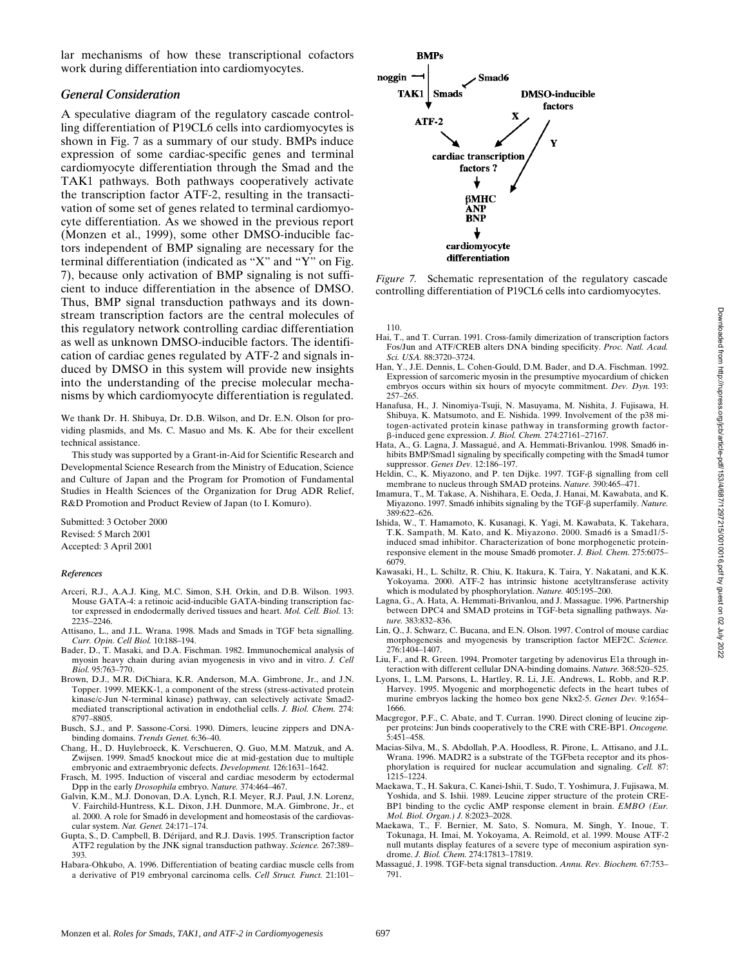lar mechanisms of how these transcriptional cofactors work during differentiation into cardiomyocytes.

## *General Consideration*

A speculative diagram of the regulatory cascade controlling differentiation of P19CL6 cells into cardiomyocytes is shown in Fig. 7 as a summary of our study. BMPs induce expression of some cardiac-specific genes and terminal cardiomyocyte differentiation through the Smad and the TAK1 pathways. Both pathways cooperatively activate the transcription factor ATF-2, resulting in the transactivation of some set of genes related to terminal cardiomyocyte differentiation. As we showed in the previous report (Monzen et al., 1999), some other DMSO-inducible factors independent of BMP signaling are necessary for the terminal differentiation (indicated as "X" and "Y" on Fig. 7), because only activation of BMP signaling is not sufficient to induce differentiation in the absence of DMSO. Thus, BMP signal transduction pathways and its downstream transcription factors are the central molecules of this regulatory network controlling cardiac differentiation as well as unknown DMSO-inducible factors. The identification of cardiac genes regulated by ATF-2 and signals induced by DMSO in this system will provide new insights into the understanding of the precise molecular mechanisms by which cardiomyocyte differentiation is regulated.

We thank Dr. H. Shibuya, Dr. D.B. Wilson, and Dr. E.N. Olson for providing plasmids, and Ms. C. Masuo and Ms. K. Abe for their excellent technical assistance.

This study was supported by a Grant-in-Aid for Scientific Research and Developmental Science Research from the Ministry of Education, Science and Culture of Japan and the Program for Promotion of Fundamental Studies in Health Sciences of the Organization for Drug ADR Relief, R&D Promotion and Product Review of Japan (to I. Komuro).

Submitted: 3 October 2000 Revised: 5 March 2001 Accepted: 3 April 2001

#### *References*

- Arceri, R.J., A.A.J. King, M.C. Simon, S.H. Orkin, and D.B. Wilson. 1993. Mouse GATA-4: a retinoic acid-inducible GATA-binding transcription factor expressed in endodermally derived tissues and heart. *Mol. Cell. Biol.* 13: 2235–2246.
- Attisano, L., and J.L. Wrana. 1998. Mads and Smads in TGF beta signalling. *Curr. Opin. Cell Biol.* 10:188–194.
- Bader, D., T. Masaki, and D.A. Fischman. 1982. Immunochemical analysis of myosin heavy chain during avian myogenesis in vivo and in vitro. *J. Cell Biol.* 95:763–770.
- Brown, D.J., M.R. DiChiara, K.R. Anderson, M.A. Gimbrone, Jr., and J.N. Topper. 1999. MEKK-1, a component of the stress (stress-activated protein kinase/c-Jun N-terminal kinase) pathway, can selectively activate Smad2 mediated transcriptional activation in endothelial cells. *J. Biol. Chem.* 274: 8797–8805.
- Busch, S.J., and P. Sassone-Corsi. 1990. Dimers, leucine zippers and DNAbinding domains. *Trends Genet.* 6:36–40.
- Chang, H., D. Huylebroeck, K. Verschueren, Q. Guo, M.M. Matzuk, and A. Zwijsen. 1999. Smad5 knockout mice die at mid-gestation due to multiple embryonic and extraembryonic defects. *Development.* 126:1631–1642.
- Frasch, M. 1995. Induction of visceral and cardiac mesoderm by ectodermal Dpp in the early *Drosophila* embryo. *Nature.* 374:464–467.
- Galvin, K.M., M.J. Donovan, D.A. Lynch, R.I. Meyer, R.J. Paul, J.N. Lorenz, V. Fairchild-Huntress, K.L. Dixon, J.H. Dunmore, M.A. Gimbrone, Jr., et al. 2000. A role for Smad6 in development and homeostasis of the cardiovascular system. *Nat. Genet.* 24:171–174.
- Gupta, S., D. Campbell, B. Dérijard, and R.J. Davis. 1995. Transcription factor ATF2 regulation by the JNK signal transduction pathway. *Science.* 267:389– 393.
- Habara-Ohkubo, A. 1996. Differentiation of beating cardiac muscle cells from a derivative of P19 embryonal carcinoma cells. *Cell Struct. Funct.* 21:101–



*Figure 7.* Schematic representation of the regulatory cascade controlling differentiation of P19CL6 cells into cardiomyocytes.

110.

- Hai, T., and T. Curran. 1991. Cross-family dimerization of transcription factors Fos/Jun and ATF/CREB alters DNA binding specificity. *Proc. Natl. Acad. Sci. USA.* 88:3720–3724.
- Han, Y., J.E. Dennis, L. Cohen-Gould, D.M. Bader, and D.A. Fischman. 1992. Expression of sarcomeric myosin in the presumptive myocardium of chicken embryos occurs within six hours of myocyte commitment. *Dev. Dyn.* 193: 257–265.
- Hanafusa, H., J. Ninomiya-Tsuji, N. Masuyama, M. Nishita, J. Fujisawa, H. Shibuya, K. Matsumoto, and E. Nishida. 1999. Involvement of the p38 mitogen-activated protein kinase pathway in transforming growth factorb-induced gene expression. *J. Biol. Chem.* 274:27161–27167.
- Hata, A., G. Lagna, J. Massagué, and A. Hemmati-Brivanlou. 1998. Smad6 inhibits BMP/Smad1 signaling by specifically competing with the Smad4 tumor suppressor. *Genes Dev.* 12:186–197.
- Heldin, C., K. Miyazono, and P. ten Dijke. 1997. TGF- $\beta$  signalling from cell membrane to nucleus through SMAD proteins. *Nature.* 390:465-471.
- Imamura, T., M. Takase, A. Nishihara, E. Oeda, J. Hanai, M. Kawabata, and K. Miyazono. 1997. Smad6 inhibits signaling by the TGF-b superfamily. *Nature.* 389:622–626.
- Ishida, W., T. Hamamoto, K. Kusanagi, K. Yagi, M. Kawabata, K. Takehara, T.K. Sampath, M. Kato, and K. Miyazono. 2000. Smad6 is a Smad1/5 induced smad inhibitor. Characterization of bone morphogenetic proteinresponsive element in the mouse Smad6 promoter. *J. Biol. Chem.* 275:6075– 6079.
- Kawasaki, H., L. Schiltz, R. Chiu, K. Itakura, K. Taira, Y. Nakatani, and K.K. Yokoyama. 2000. ATF-2 has intrinsic histone acetyltransferase activity which is modulated by phosphorylation. *Nature.* 405:195–200.
- Lagna, G., A. Hata, A. Hemmati-Brivanlou, and J. Massague. 1996. Partnership between DPC4 and SMAD proteins in TGF-beta signalling pathways. *Nature.* 383:832–836.
- Lin, Q., J. Schwarz, C. Bucana, and E.N. Olson. 1997. Control of mouse cardiac morphogenesis and myogenesis by transcription factor MEF2C. *Science.* 276:1404–1407.
- Liu, F., and R. Green. 1994. Promoter targeting by adenovirus E1a through interaction with different cellular DNA-binding domains. *Nature.* 368:520–525.
- Lyons, I., L.M. Parsons, L. Hartley, R. Li, J.E. Andrews, L. Robb, and R.P. Harvey. 1995. Myogenic and morphogenetic defects in the heart tubes of murine embryos lacking the homeo box gene Nkx2-5. *Genes Dev.* 9:1654– 1666.
- Macgregor, P.F., C. Abate, and T. Curran. 1990. Direct cloning of leucine zipper proteins: Jun binds cooperatively to the CRE with CRE-BP1. *Oncogene.*  $5:451-458$ .
- Macias-Silva, M., S. Abdollah, P.A. Hoodless, R. Pirone, L. Attisano, and J.L. Wrana. 1996. MADR2 is a substrate of the TGFbeta receptor and its phosphorylation is required for nuclear accumulation and signaling. *Cell.* 87: 1215–1224.
- Maekawa, T., H. Sakura, C. Kanei-Ishii, T. Sudo, T. Yoshimura, J. Fujisawa, M. Yoshida, and S. Ishii. 1989. Leucine zipper structure of the protein CRE-BP1 binding to the cyclic AMP response element in brain. *EMBO (Eur. Mol. Biol. Organ.) J.* 8:2023–2028.
- Maekawa, T., F. Bernier, M. Sato, S. Nomura, M. Singh, Y. Inoue, T. Tokunaga, H. Imai, M. Yokoyama, A. Reimold, et al. 1999. Mouse ATF-2 null mutants display features of a severe type of meconium aspiration syndrome. *J. Biol. Chem.* 274:17813–17819.
- Massagué, J. 1998. TGF-beta signal transduction. *Annu. Rev. Biochem.* 67:753– 791.